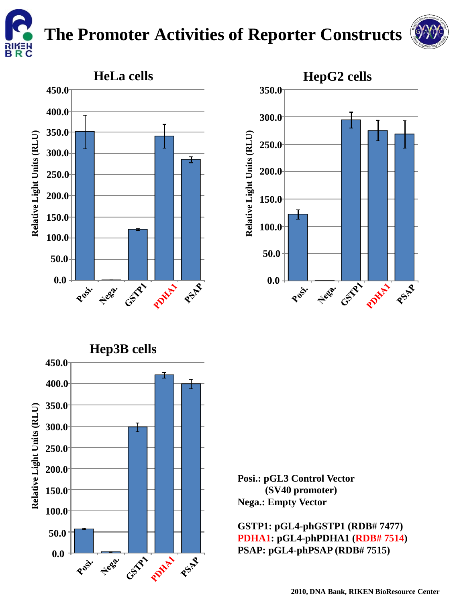

## **The Promoter Activities of Reporter Constructs**



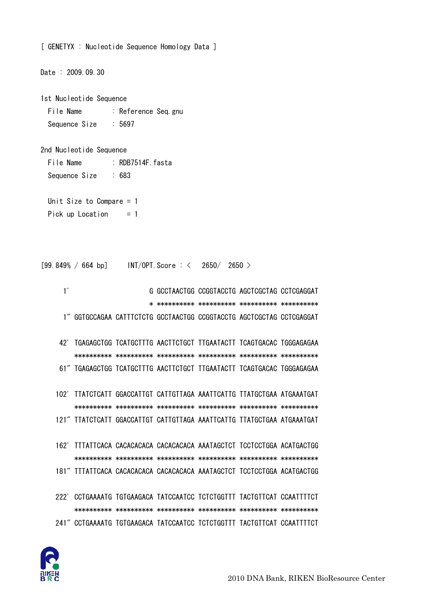

| Date: 2009.09.30                                      |  |                                                                        |  |                                               |  |  |
|-------------------------------------------------------|--|------------------------------------------------------------------------|--|-----------------------------------------------|--|--|
| 1st Nucleotide Sequence                               |  |                                                                        |  |                                               |  |  |
| File Name<br>: Reference Seq gnu                      |  |                                                                        |  |                                               |  |  |
| Sequence Size : 5697                                  |  |                                                                        |  |                                               |  |  |
|                                                       |  |                                                                        |  |                                               |  |  |
| 2nd Nucleotide Sequence                               |  |                                                                        |  |                                               |  |  |
| File Name                                             |  | . RDB7514F fasta                                                       |  |                                               |  |  |
| Sequence Size : 683                                   |  |                                                                        |  |                                               |  |  |
|                                                       |  |                                                                        |  |                                               |  |  |
| Unit Size to Compare $= 1$                            |  |                                                                        |  |                                               |  |  |
| Pick up Location<br>$= 1$                             |  |                                                                        |  |                                               |  |  |
|                                                       |  |                                                                        |  |                                               |  |  |
|                                                       |  |                                                                        |  |                                               |  |  |
|                                                       |  |                                                                        |  |                                               |  |  |
| $[99.849\% / 664 bp]$ INT/OPT. Score : < 2650/ 2650 > |  |                                                                        |  |                                               |  |  |
| 1'                                                    |  |                                                                        |  | G GCCTAACTGG CCGGTACCTG AGCTCGCTAG CCTCGAGGAT |  |  |
|                                                       |  |                                                                        |  |                                               |  |  |
|                                                       |  | 1" GGTGCCAGAA CATTTCTCTG GCCTAACTGG CCGGTACCTG AGCTCGCTAG CCTCGAGGAT   |  |                                               |  |  |
|                                                       |  |                                                                        |  |                                               |  |  |
|                                                       |  | 42' TGAGAGCTGG TCATGCTTTG AACTTCTGCT TTGAATACTT TCAGTGACAC TGGGAGAGAA  |  |                                               |  |  |
|                                                       |  |                                                                        |  |                                               |  |  |
|                                                       |  | 61" TGAGAGCTGG TCATGCTTTG AACTTCTGCT TTGAATACTT TCAGTGACAC TGGGAGAGAA  |  |                                               |  |  |
|                                                       |  |                                                                        |  |                                               |  |  |
|                                                       |  | 102' TTATCTCATT GGACCATTGT CATTGTTAGA AAATTCATTG TTATGCTGAA ATGAAATGAT |  |                                               |  |  |
|                                                       |  |                                                                        |  |                                               |  |  |
|                                                       |  | 121" TTATCTCATT GGACCATTGT CATTGTTAGA AAATTCATTG TTATGCTGAA ATGAAATGAT |  |                                               |  |  |
|                                                       |  |                                                                        |  |                                               |  |  |
|                                                       |  | 162' TITATTCACA CACACACACA CACACACACA AAATAGCTCT TCCTCCTGGA ACATGACTGG |  |                                               |  |  |
|                                                       |  |                                                                        |  |                                               |  |  |
|                                                       |  | 181" TITATTCACA CACACACACA CACACACACA AAATAGCTCT TCCTCCTGGA ACATGACTGG |  |                                               |  |  |
|                                                       |  |                                                                        |  |                                               |  |  |
|                                                       |  | 222' CCTGAAAATG TGTGAAGACA TATCCAATCC TCTCTGGTTT TACTGTTCAT CCAATTTTCT |  |                                               |  |  |
|                                                       |  |                                                                        |  |                                               |  |  |
|                                                       |  | 241" CCTGAAAATG TGTGAAGACA TATCCAATCC TCTCTGGTTT TACTGTTCAT CCAATTTTCT |  |                                               |  |  |

[ GENETYX : Nucleotide Sequence Homology Data ]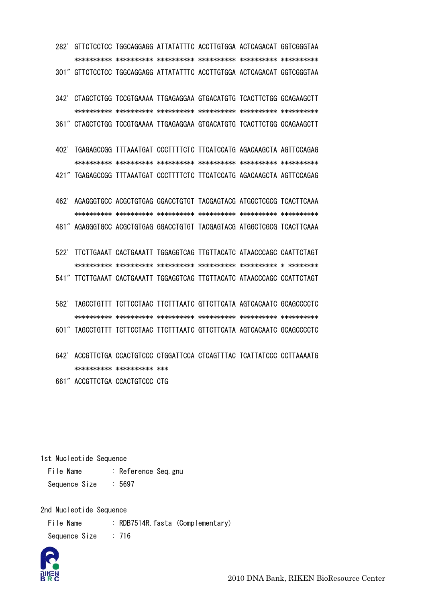282' GTTCTCCTCC TGGCAGGAGG ATTATATTTC ACCTTGTGGA ACTCAGACAT GGTCGGGTAA \*\*\*\*\*\*\*\*\*\* \*\*\*\*\*\*\*\*\*\* \*\*\*\*\*\*\*\*\*\* \*\*\*\*\*\*\*\*\*\* \*\*\*\*\*\*\*\*\*\* \*\*\*\*\*\*\*\*\*\* 301" GTTCTCCTCC TGGCAGGAGG ATTATATTTC ACCTTGTGGA ACTCAGACAT GGTCGGGTAA

 342' CTAGCTCTGG TCCGTGAAAA TTGAGAGGAA GTGACATGTG TCACTTCTGG GCAGAAGCTT \*\*\*\*\*\*\*\*\*\* \*\*\*\*\*\*\*\*\*\* \*\*\*\*\*\*\*\*\*\* \*\*\*\*\*\*\*\*\*\* \*\*\*\*\*\*\*\*\*\* \*\*\*\*\*\*\*\*\*\* 361" CTAGCTCTGG TCCGTGAAAA TTGAGAGGAA GTGACATGTG TCACTTCTGG GCAGAAGCTT

 402' TGAGAGCCGG TTTAAATGAT CCCTTTTCTC TTCATCCATG AGACAAGCTA AGTTCCAGAG \*\*\*\*\*\*\*\*\*\* \*\*\*\*\*\*\*\*\*\* \*\*\*\*\*\*\*\*\*\* \*\*\*\*\*\*\*\*\*\* \*\*\*\*\*\*\*\*\*\* \*\*\*\*\*\*\*\*\*\* 421" TGAGAGCCGG TTTAAATGAT CCCTTTTCTC TTCATCCATG AGACAAGCTA AGTTCCAGAG

 462' AGAGGGTGCC ACGCTGTGAG GGACCTGTGT TACGAGTACG ATGGCTCGCG TCACTTCAAA \*\*\*\*\*\*\*\*\*\* \*\*\*\*\*\*\*\*\*\* \*\*\*\*\*\*\*\*\*\* \*\*\*\*\*\*\*\*\*\* \*\*\*\*\*\*\*\*\*\* \*\*\*\*\*\*\*\*\*\* 481" AGAGGGTGCC ACGCTGTGAG GGACCTGTGT TACGAGTACG ATGGCTCGCG TCACTTCAAA

 522' TTCTTGAAAT CACTGAAATT TGGAGGTCAG TTGTTACATC ATAACCCAGC CAATTCTAGT \*\*\*\*\*\*\*\*\*\* \*\*\*\*\*\*\*\*\*\* \*\*\*\*\*\*\*\*\*\* \*\*\*\*\*\*\*\*\*\* \*\*\*\*\*\*\*\*\*\* \* \*\*\*\*\*\*\*\* 541" TTCTTGAAAT CACTGAAATT TGGAGGTCAG TTGTTACATC ATAACCCAGC CCATTCTAGT

- 582' TAGCCTGTTT TCTTCCTAAC TTCTTTAATC GTTCTTCATA AGTCACAATC GCAGCCCCTC \*\*\*\*\*\*\*\*\*\* \*\*\*\*\*\*\*\*\*\* \*\*\*\*\*\*\*\*\*\* \*\*\*\*\*\*\*\*\*\* \*\*\*\*\*\*\*\*\*\* \*\*\*\*\*\*\*\*\*\*
- 601" TAGCCTGTTT TCTTCCTAAC TTCTTTAATC GTTCTTCATA AGTCACAATC GCAGCCCCTC
- 642' ACCGTTCTGA CCACTGTCCC CTGGATTCCA CTCAGTTTAC TCATTATCCC CCTTAAAATG \*\*\*\*\*\*\*\*\*\* \*\*\*\*\*\*\*\*\*\* \*\*\*
- 661" ACCGTTCTGA CCACTGTCCC CTG

1st Nucleotide Sequence

File Name : Reference Seq.gnu Sequence Size : 5697

2nd Nucleotide Sequence

File Name : RDB7514R.fasta (Complementary) Sequence Size : 716



2010 DNA Bank, RIKEN BioResource Center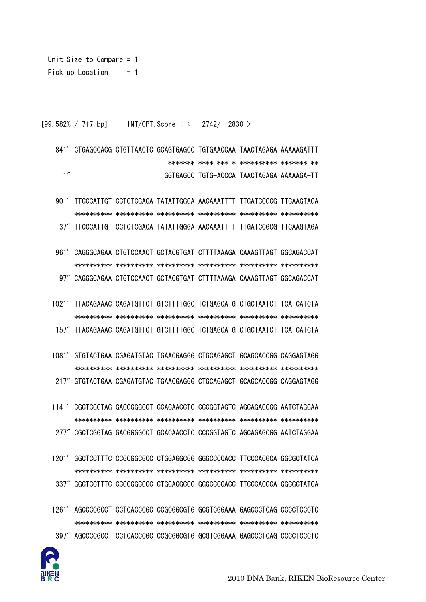```
Unit Size to Compare = 1Pick up Location = 1
```
[99.582% / 717 bp] INT/OPT. Score:  $\langle 2742/2830 \rangle$ 

841' CTGAGCCACG CTGTTAACTC GCAGTGAGCC TGTGAACCAA TAACTAGAGA AAAAAGATTT  $1''$ GGTGAGCC TGTG-ACCCA TAACTAGAGA AAAAAGA-TT

901' TTCCCATTGT CCTCTCGACA TATATTGGGA AACAAATTTT TTGATCCGCG TTCAAGTAGA 37" TTCCCATTGT CCTCTCGACA TATATTGGGA AACAAATTTT TTGATCCGCG TTCAAGTAGA

961' CAGGGCAGAA CTGTCCAACT GCTACGTGAT CTTTTAAAGA CAAAGTTAGT GGCAGACCAT 97" CAGGGCAGAA CTGTCCAACT GCTACGTGAT CTTTTAAAGA CAAAGTTAGT GGCAGACCAT

1021' TTACAGAAAC CAGATGTTCT GTCTTTTGGC TCTGAGCATG CTGCTAATCT TCATCATCTA 157" TTACAGAAAC CAGATGTTCT GTCTTTTGGC TCTGAGCATG CTGCTAATCT TCATCATCTA

1081' GTGTACTGAA CGAGATGTAC TGAACGAGGG CTGCAGAGCT GCAGCACCGG CAGGAGTAGG 217" GTGTACTGAA CGAGATGTAC TGAACGAGGG CTGCAGAGCT GCAGCACCGG CAGGAGTAGG

1141' CGCTCGGTAG GACGGGGCCT GCACAACCTC CCCGGTAGTC AGCAGAGCGG AATCTAGGAA 277" CGCTCGGTAG GACGGGGCCT GCACAACCTC CCCGGTAGTC AGCAGAGCGG AATCTAGGAA

- 1201' GGCTCCTTTC CCGCGGCGCC CTGGAGGCGG GGGCCCCACC TTCCCACGCA GGCGCTATCA 337" GGCTCCTTTC CCGCGGCGCC CTGGAGGCGG GGGCCCCACC TTCCCACGCA GGCGCTATCA
- 1261' AGCCCCGCCT CCTCACCCGC CCGCGGCGTG GCGTCGGAAA GAGCCCTCAG CCCCTCCCTC
- 397" AGCCCCGCCT CCTCACCCGC CCGCGGCGTG GCGTCGGAAA GAGCCCTCAG CCCCTCCCTC